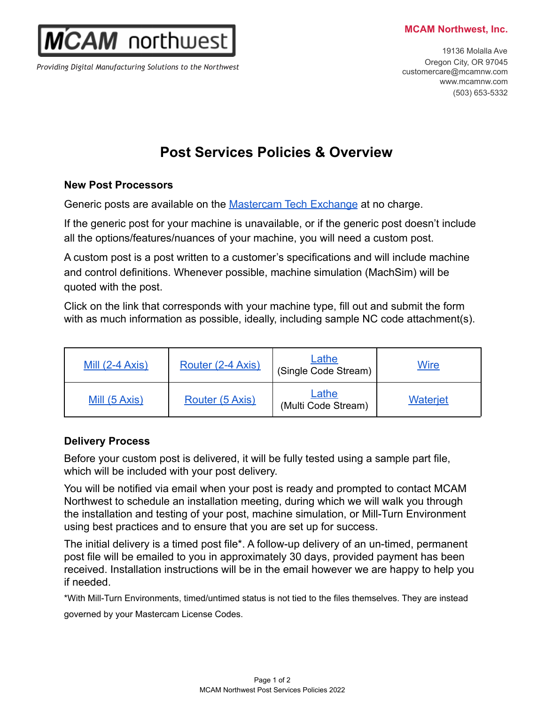#### **MCAM Northwest, Inc.**

 $2AM$  northwest

*Providing Digital Manufacturing Solutions to the Northwest*

19136 Molalla Ave Oregon City, OR 97045 customercare@mcamnw.com www.mcamnw.com (503) 653-5332

# **Post Services Policies & Overview**

#### **New Post Processors**

Generic posts are available on the **[Mastercam Tech Exchange](https://community.mastercam.com/techexchange#files)** at no charge.

If the generic post for your machine is unavailable, or if the generic post doesn't include all the options/features/nuances of your machine, you will need a custom post.

A custom post is a post written to a customer's specifications and will include machine and control definitions. Whenever possible, machine simulation (MachSim) will be quoted with the post.

Click on the link that corresponds with your machine type, fill out and submit the form with as much information as possible, ideally, including sample NC code attachment(s).

| Mill $(2-4 Axis)$ | Router (2-4 Axis) | Lathe<br>(Single Code Stream) | <b>Wire</b>     |
|-------------------|-------------------|-------------------------------|-----------------|
| Mill (5 Axis)     | Router (5 Axis)   | Lathe<br>(Multi Code Stream)  | <b>Waterjet</b> |

## **Delivery Process**

Before your custom post is delivered, it will be fully tested using a sample part file, which will be included with your post delivery.

You will be notified via email when your post is ready and prompted to contact MCAM Northwest to schedule an installation meeting, during which we will walk you through the installation and testing of your post, machine simulation, or Mill-Turn Environment using best practices and to ensure that you are set up for success.

The initial delivery is a timed post file\*. A follow-up delivery of an un-timed, permanent post file will be emailed to you in approximately 30 days, provided payment has been received. Installation instructions will be in the email however we are happy to help you if needed.

\*With Mill-Turn Environments, timed/untimed status is not tied to the files themselves. They are instead governed by your Mastercam License Codes.